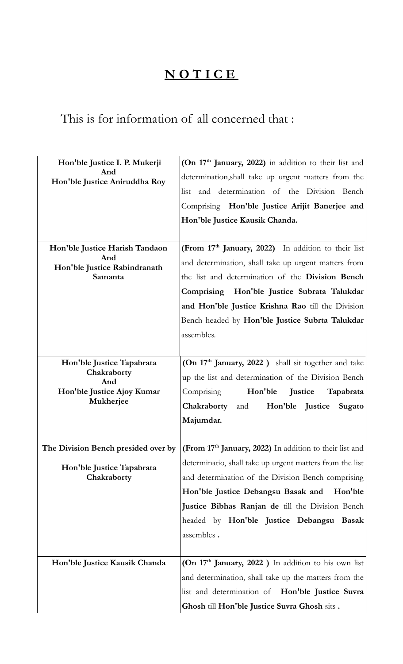## **N O T I C E**

## This is for information of all concerned that :

| Hon'ble Justice I. P. Mukerji            | (On 17 <sup>th</sup> January, 2022) in addition to their list and                                               |
|------------------------------------------|-----------------------------------------------------------------------------------------------------------------|
| And<br>Hon'ble Justice Aniruddha Roy     | determination, shall take up urgent matters from the                                                            |
|                                          | and determination of the Division Bench<br>list                                                                 |
|                                          | Comprising Hon'ble Justice Arijit Banerjee and                                                                  |
|                                          | Hon'ble Justice Kausik Chanda.                                                                                  |
|                                          |                                                                                                                 |
| Hon'ble Justice Harish Tandaon           | (From 17th January, 2022) In addition to their list                                                             |
| And<br>Hon'ble Justice Rabindranath      | and determination, shall take up urgent matters from                                                            |
| Samanta                                  | the list and determination of the Division Bench                                                                |
|                                          | Comprising Hon'ble Justice Subrata Talukdar                                                                     |
|                                          | and Hon'ble Justice Krishna Rao till the Division                                                               |
|                                          | Bench headed by Hon'ble Justice Subrta Talukdar                                                                 |
|                                          | assembles.                                                                                                      |
|                                          |                                                                                                                 |
| Hon'ble Justice Tapabrata<br>Chakraborty | (On 17 <sup>th</sup> January, 2022) shall sit together and take                                                 |
|                                          | up the list and determination of the Division Bench                                                             |
| And                                      |                                                                                                                 |
| Hon'ble Justice Ajoy Kumar               | Hon'ble<br>Comprising<br>Justice<br>Tapabrata                                                                   |
| Mukherjee                                | Hon'ble Justice<br>Chakraborty<br>and<br>Sugato                                                                 |
|                                          | Majumdar.                                                                                                       |
|                                          |                                                                                                                 |
|                                          | The Division Bench presided over by $ $ (From 17 <sup>th</sup> January, 2022) In addition to their list and     |
| Hon'ble Justice Tapabrata                | determinatio, shall take up urgent matters from the list                                                        |
| Chakraborty                              | and determination of the Division Bench comprising                                                              |
|                                          | Hon'ble Justice Debangsu Basak and<br>Hon'ble                                                                   |
|                                          | Justice Bibhas Ranjan de till the Division Bench                                                                |
|                                          | headed by Hon'ble Justice Debangsu Basak                                                                        |
|                                          | assembles.                                                                                                      |
|                                          |                                                                                                                 |
| Hon'ble Justice Kausik Chanda            | (On 17 <sup>th</sup> January, 2022) In addition to his own list                                                 |
|                                          | and determination, shall take up the matters from the<br>list and determination of <b>Hon'ble Justice Suvra</b> |